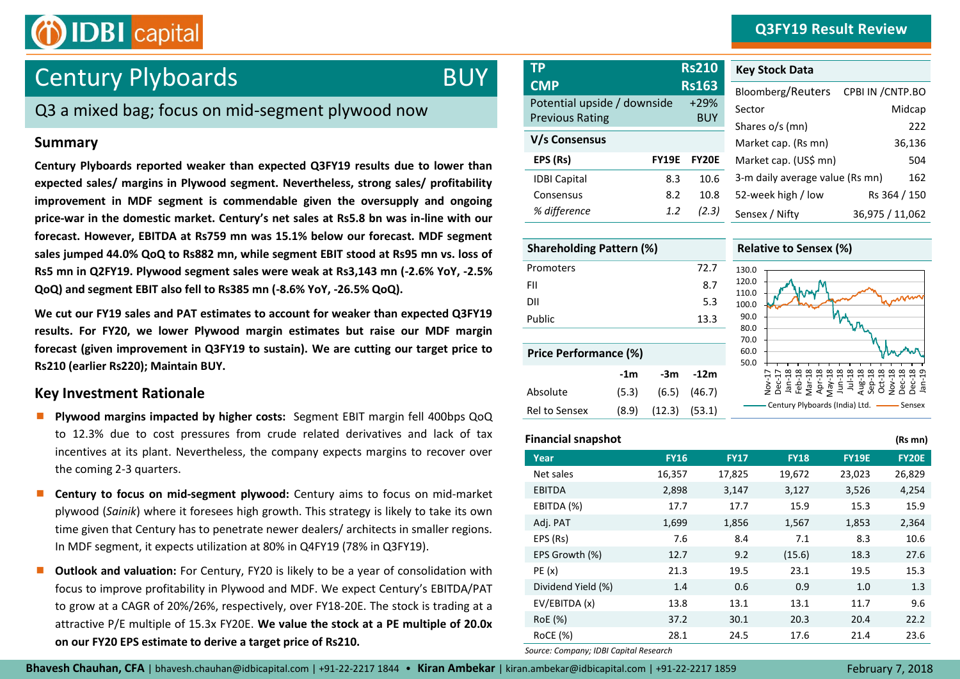## **Q3FY19 Result Review**



# Century Plyboards

# **BUY**

# Q3 a mixed bag; focus on mid-segment plywood now

## **Summary**

**Century Plyboards reported weaker than expected Q3FY19 results due to lower than expected sales/ margins in Plywood segment. Nevertheless, strong sales/ profitability improvement in MDF segment is commendable given the oversupply and ongoing price-war in the domestic market. Century's net sales at Rs5.8 bn was in-line with our forecast. However, EBITDA at Rs759 mn was 15.1% below our forecast. MDF segment sales jumped 44.0% QoQ to Rs882 mn, while segment EBIT stood at Rs95 mn vs. loss of Rs5 mn in Q2FY19. Plywood segment sales were weak at Rs3,143 mn (-2.6% YoY, -2.5% QoQ) and segment EBIT also fell to Rs385 mn (-8.6% YoY, -26.5% QoQ).** 

**We cut our FY19 sales and PAT estimates to account for weaker than expected Q3FY19 results. For FY20, we lower Plywood margin estimates but raise our MDF margin forecast (given improvement in Q3FY19 to sustain). We are cutting our target price to Rs210 (earlier Rs220); Maintain BUY.** 

## **Key Investment Rationale**

- **Plywood margins impacted by higher costs:** Segment EBIT margin fell 400bps QoQ to 12.3% due to cost pressures from crude related derivatives and lack of tax incentives at its plant. Nevertheless, the company expects margins to recover over the coming 2-3 quarters.
- **Century to focus on mid-segment plywood:** Century aims to focus on mid-market plywood (*Sainik*) where it foresees high growth. This strategy is likely to take its own time given that Century has to penetrate newer dealers/ architects in smaller regions. In MDF segment, it expects utilization at 80% in Q4FY19 (78% in Q3FY19).
- **Outlook and valuation:** For Century, FY20 is likely to be a year of consolidation with focus to improve profitability in Plywood and MDF. We expect Century's EBITDA/PAT to grow at a CAGR of 20%/26%, respectively, over FY18-20E. The stock is trading at a attractive P/E multiple of 15.3x FY20E. **We value the stock at a PE multiple of 20.0x on our FY20 EPS estimate to derive a target price of Rs210.**

| <b>TP</b>                                             |              | <b>Rs210</b>         |
|-------------------------------------------------------|--------------|----------------------|
| <b>CMP</b>                                            |              | <b>Rs163</b>         |
| Potential upside / downside<br><b>Previous Rating</b> |              | $+29%$<br><b>BUY</b> |
| V/s Consensus                                         |              |                      |
| EPS (Rs)                                              | <b>FY19E</b> | <b>FY20E</b>         |
| <b>IDBI Capital</b>                                   | 8.3          | 10.6                 |
| Consensus                                             | 8.2          | 10.8                 |
| % difference                                          | 1.2          | (2.3)                |

| <b>Key Stock Data</b>           |                   |
|---------------------------------|-------------------|
| Bloomberg/Reuters               | CPBI IN / CNTP.BO |
| Sector                          | Midcap            |
| Shares o/s (mn)                 | 222               |
| Market cap. (Rs mn)             | 36,136            |
| Market cap. (US\$ mn)           | 504               |
| 3-m daily average value (Rs mn) | 162               |
| 52-week high / low              | Rs 364 / 150      |
| Sensex / Nifty                  | 36,975 / 11,062   |

| <b>Shareholding Pattern (%)</b> |       |        |        |                   |  |
|---------------------------------|-------|--------|--------|-------------------|--|
| Promoters                       |       |        | 72.7   | $\mathbf{1}$      |  |
| FII                             |       |        | 8.7    | $\mathbf{1}$<br>1 |  |
| DII                             |       |        | 5.3    | $\mathbf{1}$      |  |
| Public                          |       |        | 13.3   |                   |  |
|                                 |       |        |        |                   |  |
| <b>Price Performance (%)</b>    |       |        |        |                   |  |
|                                 | -1m   | -3m    | -12m   |                   |  |
| Absolute                        | (5.3) | (6.5)  | (46.7) |                   |  |
| Rel to Sensex                   | (8.9) | (12.3) | (53.1) |                   |  |

#### **Relative to Sensex (%)**



#### **Financial snapshot (Rs mn)**

|                    |             |             |             |              | ,            |
|--------------------|-------------|-------------|-------------|--------------|--------------|
| Year               | <b>FY16</b> | <b>FY17</b> | <b>FY18</b> | <b>FY19E</b> | <b>FY20E</b> |
| Net sales          | 16,357      | 17,825      | 19,672      | 23,023       | 26,829       |
| <b>EBITDA</b>      | 2,898       | 3,147       | 3,127       | 3,526        | 4,254        |
| EBITDA (%)         | 17.7        | 17.7        | 15.9        | 15.3         | 15.9         |
| Adj. PAT           | 1,699       | 1,856       | 1,567       | 1,853        | 2,364        |
| EPS (Rs)           | 7.6         | 8.4         | 7.1         | 8.3          | 10.6         |
| EPS Growth (%)     | 12.7        | 9.2         | (15.6)      | 18.3         | 27.6         |
| PE(x)              | 21.3        | 19.5        | 23.1        | 19.5         | 15.3         |
| Dividend Yield (%) | 1.4         | 0.6         | 0.9         | 1.0          | 1.3          |
| EV/EBITDA (x)      | 13.8        | 13.1        | 13.1        | 11.7         | 9.6          |
| RoE (%)            | 37.2        | 30.1        | 20.3        | 20.4         | 22.2         |
| <b>RoCE (%)</b>    | 28.1        | 24.5        | 17.6        | 21.4         | 23.6         |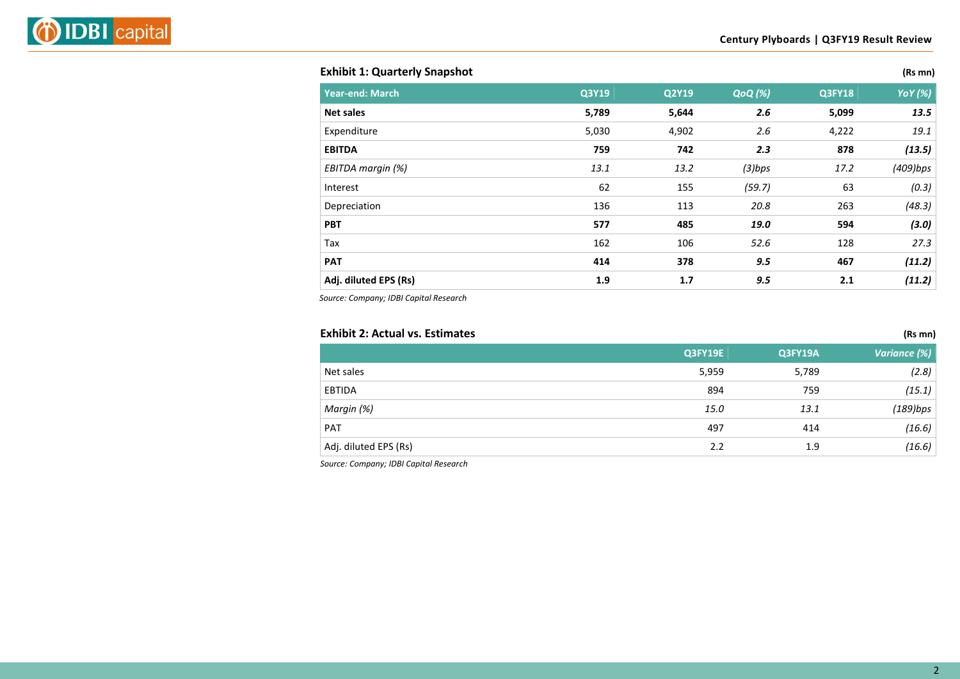### **Exhibit 1: Quarterly Snapshot (Rs mn)**

| <b>Year-end: March</b> | Q3Y19 | Q2Y19 | <b>QoQ</b> (%) | <b>Q3FY18</b> | <b>YoY</b> (%) |
|------------------------|-------|-------|----------------|---------------|----------------|
| <b>Net sales</b>       | 5,789 | 5,644 | 2.6            | 5,099         | 13.5           |
| Expenditure            | 5,030 | 4,902 | 2.6            | 4,222         | 19.1           |
| <b>EBITDA</b>          | 759   | 742   | 2.3            | 878           | (13.5)         |
| EBITDA margin (%)      | 13.1  | 13.2  | $(3)$ bps      | 17.2          | (409)bps       |
| Interest               | 62    | 155   | (59.7)         | 63            | (0.3)          |
| Depreciation           | 136   | 113   | 20.8           | 263           | (48.3)         |
| <b>PBT</b>             | 577   | 485   | 19.0           | 594           | (3.0)          |
| Tax                    | 162   | 106   | 52.6           | 128           | 27.3           |
| <b>PAT</b>             | 414   | 378   | 9.5            | 467           | (11.2)         |
| Adj. diluted EPS (Rs)  | 1.9   | 1.7   | 9.5            | 2.1           | (11.2)         |

*Source: Company; IDBI Capital Research*

### **Exhibit 2: Actual vs. Estimates (Rs mn)**

|                       | Q3FY19E | Q3FY19A | Variance (%) |
|-----------------------|---------|---------|--------------|
| Net sales             | 5,959   | 5,789   | (2.8)        |
| EBTIDA                | 894     | 759     | (15.1)       |
| Margin (%)            | 15.0    | 13.1    | (189)bps     |
| PAT                   | 497     | 414     | (16.6)       |
| Adj. diluted EPS (Rs) | 2.2     | 1.9     | (16.6)       |
|                       |         |         |              |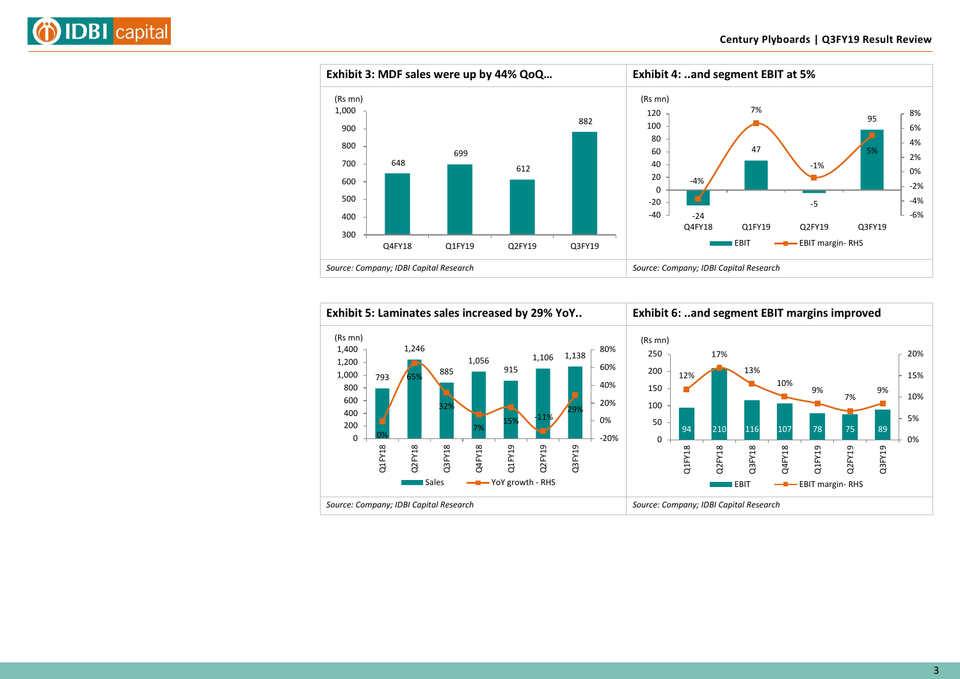



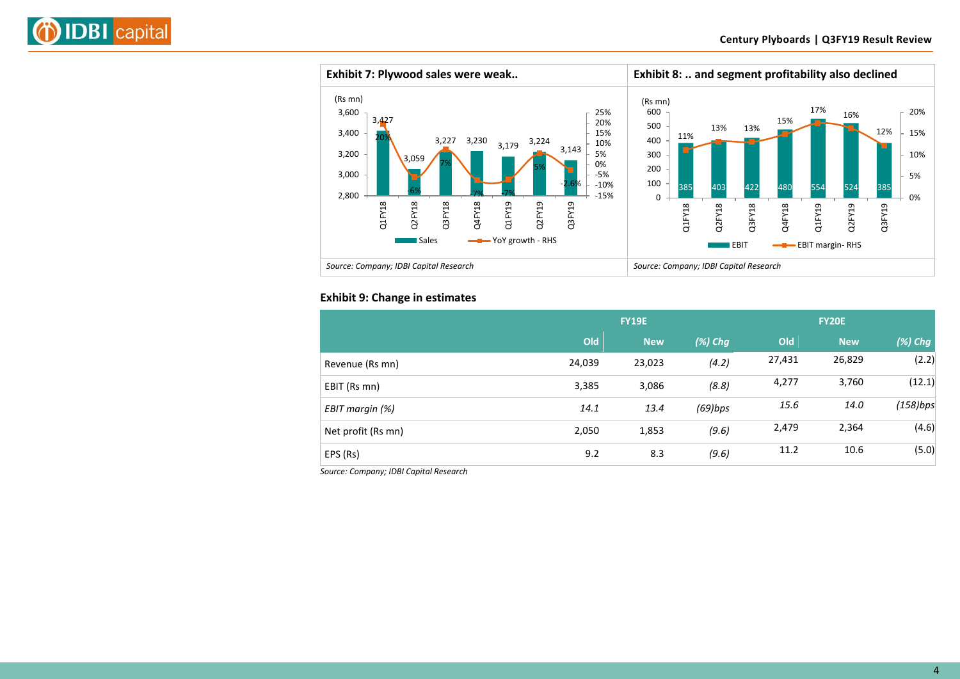



#### **Exhibit 9: Change in estimates**

| <b>FY19E</b> |            |            |        | <b>FY20E</b> |            |
|--------------|------------|------------|--------|--------------|------------|
| Old          | <b>New</b> | $(\%)$ Chg | Old    | <b>New</b>   | $(\%)$ Chg |
| 24,039       | 23,023     | (4.2)      | 27,431 | 26,829       | (2.2)      |
| 3,385        | 3,086      | (8.8)      | 4,277  | 3,760        | (12.1)     |
| 14.1         | 13.4       | $(69)$ bps | 15.6   | 14.0         | (158)bps   |
| 2,050        | 1,853      | (9.6)      | 2,479  | 2,364        | (4.6)      |
| 9.2          | 8.3        | (9.6)      | 11.2   | 10.6         | (5.0)      |
|              |            |            |        |              |            |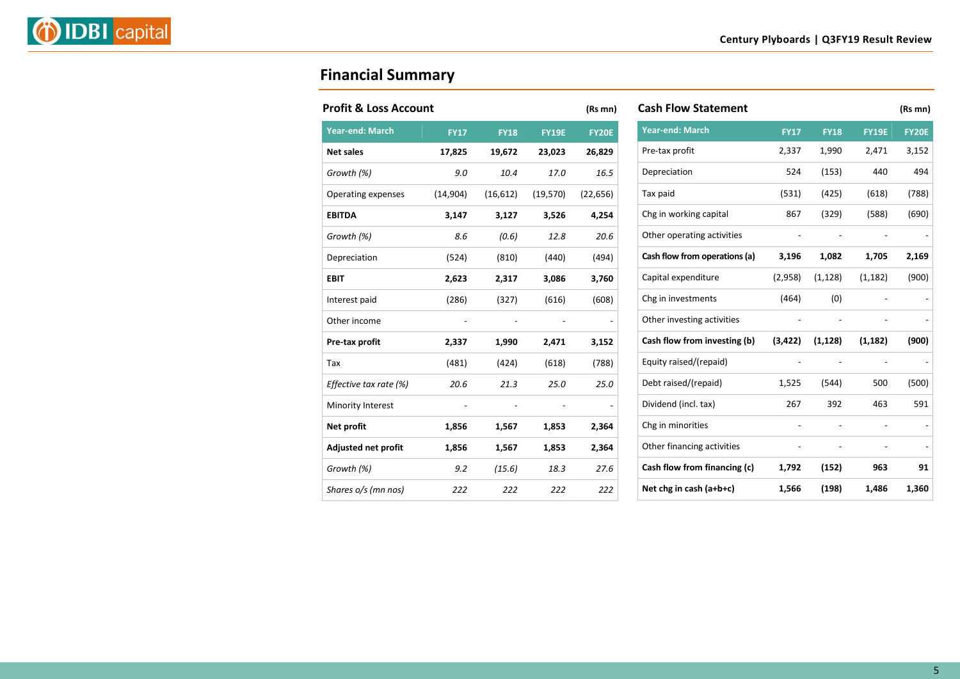

# **Financial Summary**

| <b>Profit &amp; Loss Account</b> |             |             |              | (Rs mn)      |
|----------------------------------|-------------|-------------|--------------|--------------|
| <b>Year-end: March</b>           | <b>FY17</b> | <b>FY18</b> | <b>FY19E</b> | <b>FY20E</b> |
| <b>Net sales</b>                 | 17,825      | 19,672      | 23,023       | 26,829       |
| Growth (%)                       | 9.0         | 10.4        | 17.0         | 16.5         |
| Operating expenses               | (14, 904)   | (16, 612)   | (19, 570)    | (22, 656)    |
| <b>EBITDA</b>                    | 3,147       | 3,127       | 3,526        | 4,254        |
| Growth (%)                       | 8.6         | (0.6)       | 12.8         | 20.6         |
| Depreciation                     | (524)       | (810)       | (440)        | (494)        |
| <b>EBIT</b>                      | 2,623       | 2,317       | 3,086        | 3,760        |
| Interest paid                    | (286)       | (327)       | (616)        | (608)        |
| Other income                     |             |             |              |              |
| Pre-tax profit                   | 2,337       | 1,990       | 2,471        | 3,152        |
| Tax                              | (481)       | (424)       | (618)        | (788)        |
| Effective tax rate (%)           | 20.6        | 21.3        | 25.0         | 25.0         |
| Minority Interest                |             |             |              |              |
| Net profit                       | 1,856       | 1,567       | 1,853        | 2,364        |
| Adjusted net profit              | 1,856       | 1,567       | 1,853        | 2,364        |
| Growth (%)                       | 9.2         | (15.6)      | 18.3         | 27.6         |
| Shares o/s (mn nos)              | 222         | 222         | 222          | 222          |

| <b>Cash Flow Statement</b>    |                |                |                | (Rs mn)      |
|-------------------------------|----------------|----------------|----------------|--------------|
| <b>Year-end: March</b>        | <b>FY17</b>    | <b>FY18</b>    | <b>FY19E</b>   | <b>FY20E</b> |
| Pre-tax profit                | 2,337          | 1,990          | 2,471          | 3,152        |
| Depreciation                  | 524            | (153)          | 440            | 494          |
| Tax paid                      | (531)          | (425)          | (618)          | (788)        |
| Chg in working capital        | 867            | (329)          | (588)          | (690)        |
| Other operating activities    |                |                |                |              |
| Cash flow from operations (a) | 3,196          | 1,082          | 1,705          | 2,169        |
| Capital expenditure           | (2,958)        | (1, 128)       | (1, 182)       | (900)        |
| Chg in investments            | (464)          | (0)            |                |              |
| Other investing activities    | $\overline{a}$ |                |                |              |
| Cash flow from investing (b)  | (3, 422)       | (1, 128)       | (1, 182)       | (900)        |
| Equity raised/(repaid)        |                | $\overline{a}$ | $\overline{a}$ |              |
| Debt raised/(repaid)          | 1,525          | (544)          | 500            | (500)        |
| Dividend (incl. tax)          | 267            | 392            | 463            | 591          |
| Chg in minorities             |                |                |                |              |
| Other financing activities    |                |                |                |              |
| Cash flow from financing (c)  | 1,792          | (152)          | 963            | 91           |
| Net chg in cash $(a+b+c)$     | 1,566          | (198)          | 1,486          | 1,360        |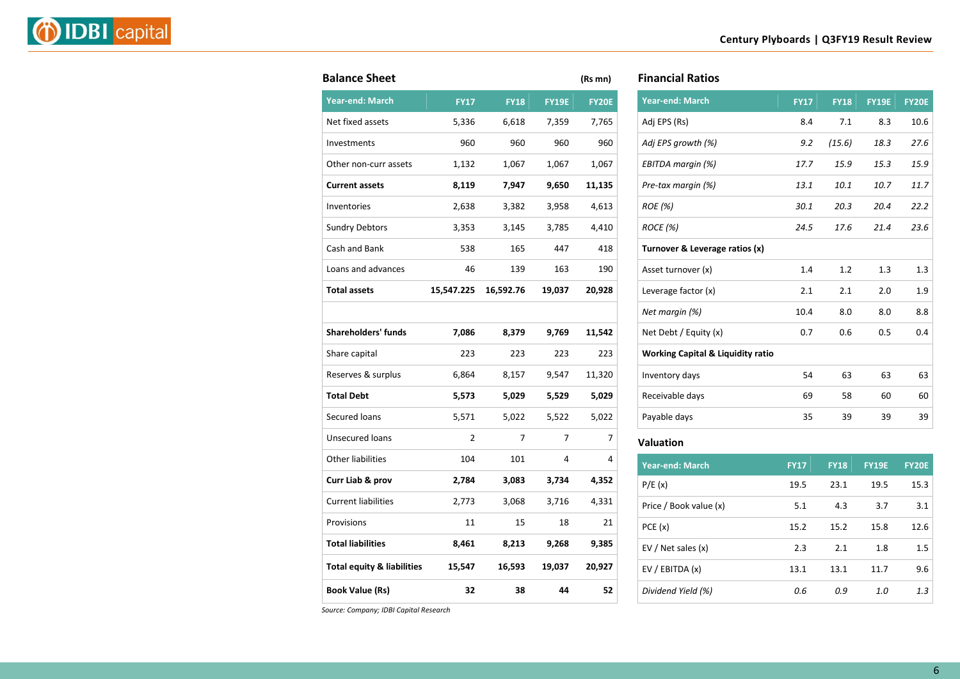|--|--|

| <b>Balance Sheet</b>                  |                |             |              | (Rs mn)      |
|---------------------------------------|----------------|-------------|--------------|--------------|
| <b>Year-end: March</b>                | <b>FY17</b>    | <b>FY18</b> | <b>FY19E</b> | <b>FY20E</b> |
| Net fixed assets                      | 5,336          | 6,618       | 7,359        | 7,765        |
| Investments                           | 960            | 960         | 960          | 960          |
| Other non-curr assets                 | 1,132          | 1,067       | 1,067        | 1,067        |
| <b>Current assets</b>                 | 8,119          | 7,947       | 9,650        | 11,135       |
| Inventories                           | 2,638          | 3,382       | 3,958        | 4,613        |
| <b>Sundry Debtors</b>                 | 3,353          | 3,145       | 3,785        | 4,410        |
| Cash and Bank                         | 538            | 165         | 447          | 418          |
| Loans and advances                    | 46             | 139         | 163          | 190          |
| <b>Total assets</b>                   | 15,547.225     | 16,592.76   | 19,037       | 20,928       |
|                                       |                |             |              |              |
| <b>Shareholders' funds</b>            | 7,086          | 8,379       | 9,769        | 11,542       |
| Share capital                         | 223            | 223         | 223          | 223          |
| Reserves & surplus                    | 6,864          | 8,157       | 9,547        | 11,320       |
| <b>Total Debt</b>                     | 5,573          | 5,029       | 5,529        | 5,029        |
| Secured loans                         | 5,571          | 5,022       | 5,522        | 5,022        |
| Unsecured loans                       | $\overline{2}$ | 7           | 7            | 7            |
| <b>Other liabilities</b>              | 104            | 101         | 4            | 4            |
| Curr Liab & prov                      | 2,784          | 3,083       | 3,734        | 4,352        |
| <b>Current liabilities</b>            | 2,773          | 3,068       | 3,716        | 4,331        |
| Provisions                            | 11             | 15          | 18           | 21           |
| <b>Total liabilities</b>              | 8,461          | 8,213       | 9,268        | 9,385        |
| <b>Total equity &amp; liabilities</b> | 15,547         | 16,593      | 19,037       | 20,927       |
| <b>Book Value (Rs)</b>                | 32             | 38          | 44           | 52           |

| <b>Financial Ratios</b> |  |
|-------------------------|--|
|-------------------------|--|

| <b>Year-end: March</b>                       | <b>FY17</b> | <b>FY18</b> | <b>FY19E</b> | <b>FY20E</b> |
|----------------------------------------------|-------------|-------------|--------------|--------------|
| Adj EPS (Rs)                                 | 8.4         | 7.1         | 8.3          | 10.6         |
| Adj EPS growth (%)                           | 9.2         | (15.6)      | 18.3         | 27.6         |
| EBITDA margin (%)                            | 17.7        | 15.9        | 15.3         | 15.9         |
| Pre-tax margin (%)                           | 13.1        | 10.1        | 10.7         | 11.7         |
| <b>ROE</b> (%)                               | 30.1        | 20.3        | 20.4         | 22.2         |
| <b>ROCE</b> (%)                              | 24.5        | 17.6        | 21.4         | 23.6         |
| Turnover & Leverage ratios (x)               |             |             |              |              |
| Asset turnover (x)                           | 1.4         | 1.2         | 1.3          | 1.3          |
| Leverage factor (x)                          | 2.1         | 2.1         | 2.0          | 1.9          |
| Net margin (%)                               | 10.4        | 8.0         | 8.0          | 8.8          |
| Net Debt / Equity (x)                        | 0.7         | 0.6         | 0.5          | 0.4          |
| <b>Working Capital &amp; Liquidity ratio</b> |             |             |              |              |
| Inventory days                               | 54          | 63          | 63           | 63           |
| Receivable days                              | 69          | 58          | 60           | 60           |
| Payable days                                 | 35          | 39          | 39           | 39           |
|                                              |             |             |              |              |

#### **Valuation**

| <b>Year-end: March</b> | <b>FY17</b> | <b>FY18</b> | <b>FY19E</b> | <b>FY20E</b> |
|------------------------|-------------|-------------|--------------|--------------|
| P/E(x)                 | 19.5        | 23.1        | 19.5         | 15.3         |
| Price / Book value (x) | 5.1         | 4.3         | 3.7          | 3.1          |
| PCE(x)                 | 15.2        | 15.2        | 15.8         | 12.6         |
| EV / Net sales (x)     | 2.3         | 2.1         | 1.8          | 1.5          |
| EV / EBITDA (x)        | 13.1        | 13.1        | 11.7         | 9.6          |
| Dividend Yield (%)     | 0.6         | 0.9         | 1.0          | 1.3          |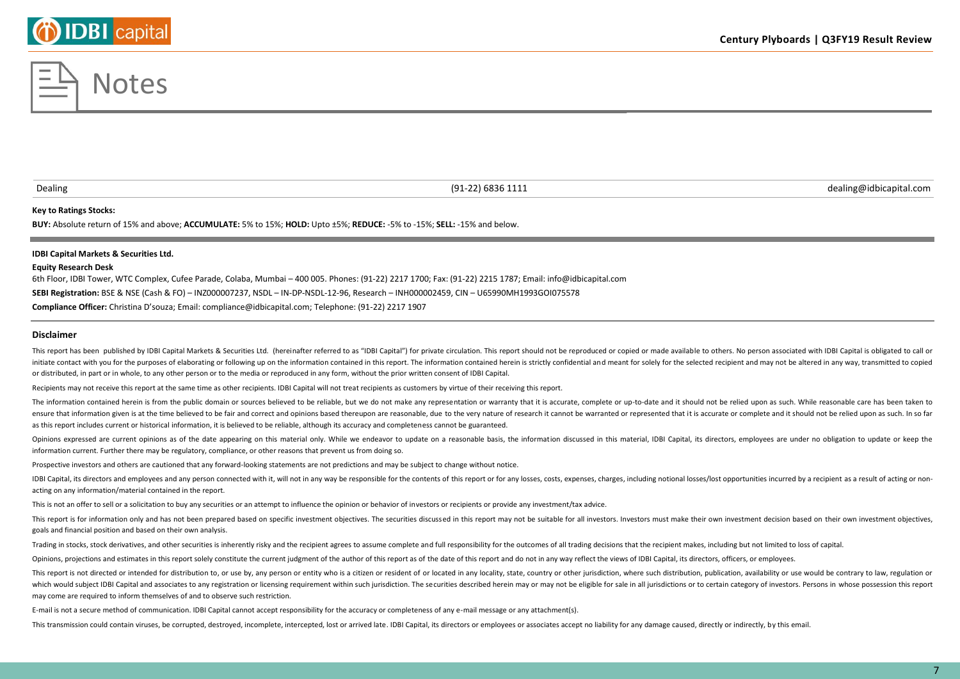#### **Key to Ratings Stocks:**

**BUY:** Absolute return of 15% and above; **ACCUMULATE:** 5% to 15%; **HOLD:** Upto ±5%; **REDUCE:** -5% to -15%; **SELL:** -15% and below.

#### **IDBI Capital Markets & Securities Ltd.**

#### **Equity Research Desk**

6th Floor, IDBI Tower, WTC Complex, Cufee Parade, Colaba, Mumbai – 400 005. Phones: (91-22) 2217 1700; Fax: (91-22) 2215 1787; Email: info@idbicapital.com **SEBI Registration:** BSE & NSE (Cash & FO) – INZ000007237, NSDL – IN-DP-NSDL-12-96, Research – INH000002459, CIN – U65990MH1993GOI075578 **Compliance Officer:** Christina D'souza; Email: compliance@idbicapital.com; Telephone: (91-22) 2217 1907

**Disclaimer**

This report has been published by IDBI Capital Markets & Securities Ltd. (hereinafter referred to as "IDBI Capital") for private circulation. This report should not be reproduced or copied or made available to others. No p initiate contact with you for the purposes of elaborating or following up on the information contained in this report. The information contained herein is strictly confidential and meant for solely for the selected recipie or distributed, in part or in whole, to any other person or to the media or reproduced in any form, without the prior written consent of IDBI Capital.

Recipients may not receive this report at the same time as other recipients. IDBI Capital will not treat recipients as customers by virtue of their receiving this report.

The information contained herein is from the public domain or sources believed to be reliable, but we do not make any representation or warranty that it is accurate, complete or up-to-date and it should not be relied upon ensure that information given is at the time believed to be fair and correct and opinions based thereupon are reasonable, due to the very nature of research it cannot be warranted or represented that it is accurate or comp as this report includes current or historical information, it is believed to be reliable, although its accuracy and completeness cannot be guaranteed.

Opinions expressed are current opinions as of the date appearing on this material only. While we endeavor to update on a reasonable basis, the information discussed in this material, IDBI Capital, its directors, employees information current. Further there may be regulatory, compliance, or other reasons that prevent us from doing so.

Prospective investors and others are cautioned that any forward-looking statements are not predictions and may be subject to change without notice.

IDBI Capital, its directors and employees and any person connected with it, will not in any way be responsible for the contents of this report or for any losses, costs, expenses, charges, including notional losses/lost opp acting on any information/material contained in the report.

This is not an offer to sell or a solicitation to buy any securities or an attempt to influence the opinion or behavior of investors or recipients or provide any investment/tax advice.

This report is for information only and has not been prepared based on specific investment objectives. The securities discussed in this report may not be suitable for all investors. Investors must make their own investment goals and financial position and based on their own analysis.

Trading in stocks, stock derivatives, and other securities is inherently risky and the recipient agrees to assume complete and full responsibility for the outcomes of all trading decisions that the recipient makes, includi

Opinions, projections and estimates in this report solely constitute the current judgment of the author of this report as of the date of this report and do not in any way reflect the views of IDBI Capital, its directors, o

This report is not directed or intended for distribution to, or use by, any person or entity who is a citizen or resident of or located in any locality, state, country or other jurisdiction, where such distribution, public which would subject IDBI Capital and associates to any registration or licensing requirement within such jurisdiction. The securities described herein may or may not be eligible for sale in all jurisdictions or to certain may come are required to inform themselves of and to observe such restriction.

E-mail is not a secure method of communication. IDBI Capital cannot accept responsibility for the accuracy or completeness of any e-mail message or any attachment(s).

This transmission could contain viruses, be corrupted, destroyed, incomplete, intercepted, lost or arrived late. IDBI Capital, its directors or employees or associates accept no liability for any damage caused, directly or

# **DIDBI** capital

Dealing (91-22) 6836 1111 dealing@idbicapital.com